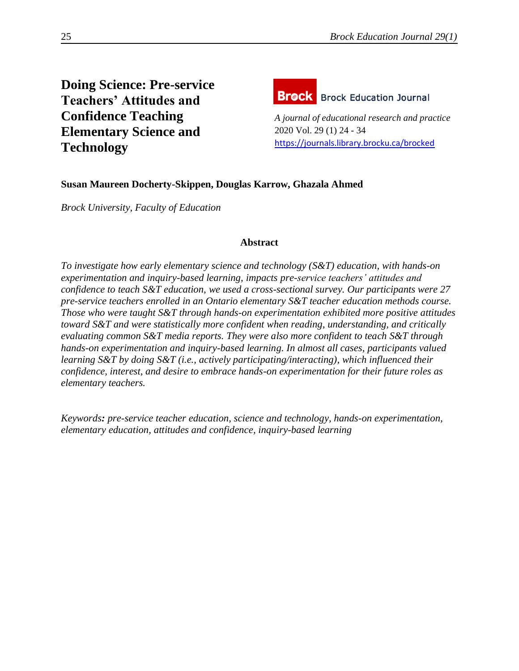# **Doing Science: Pre-service Teachers' Attitudes and Confidence Teaching Elementary Science and Technology**



*A journal of educational research and practice* 2020 Vol. 29 (1) 24 - 34 <https://journals.library.brocku.ca/brocked>

## **Susan Maureen Docherty-Skippen, Douglas Karrow, Ghazala Ahmed**

*Brock University, Faculty of Education*

### **Abstract**

*To investigate how early elementary science and technology (S&T) education, with hands-on experimentation and inquiry-based learning, impacts pre-service teachers' attitudes and confidence to teach S&T education, we used a cross-sectional survey. Our participants were 27 pre-service teachers enrolled in an Ontario elementary S&T teacher education methods course. Those who were taught S&T through hands-on experimentation exhibited more positive attitudes toward S&T and were statistically more confident when reading, understanding, and critically evaluating common S&T media reports. They were also more confident to teach S&T through hands-on experimentation and inquiry-based learning. In almost all cases, participants valued learning S&T by doing S&T (i.e., actively participating/interacting), which influenced their confidence, interest, and desire to embrace hands-on experimentation for their future roles as elementary teachers.* 

*Keywords: pre-service teacher education, science and technology, hands-on experimentation, elementary education, attitudes and confidence, inquiry-based learning*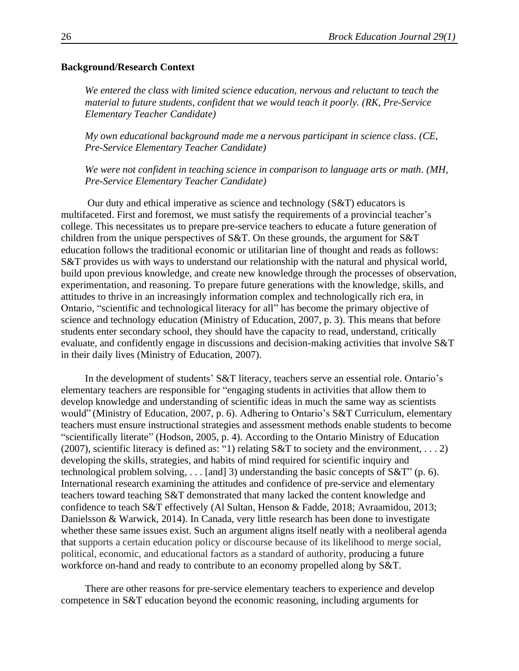#### **Background/Research Context**

*We entered the class with limited science education, nervous and reluctant to teach the material to future students, confident that we would teach it poorly. (RK, Pre-Service Elementary Teacher Candidate)*

*My own educational background made me a nervous participant in science class. (CE, Pre-Service Elementary Teacher Candidate)*

*We were not confident in teaching science in comparison to language arts or math. (MH, Pre-Service Elementary Teacher Candidate)*

Our duty and ethical imperative as science and technology (S&T) educators is multifaceted. First and foremost, we must satisfy the requirements of a provincial teacher's college. This necessitates us to prepare pre-service teachers to educate a future generation of children from the unique perspectives of S&T. On these grounds, the argument for S&T education follows the traditional economic or utilitarian line of thought and reads as follows: S&T provides us with ways to understand our relationship with the natural and physical world, build upon previous knowledge, and create new knowledge through the processes of observation, experimentation, and reasoning. To prepare future generations with the knowledge, skills, and attitudes to thrive in an increasingly information complex and technologically rich era, in Ontario, "scientific and technological literacy for all" has become the primary objective of science and technology education (Ministry of Education, 2007, p. 3). This means that before students enter secondary school, they should have the capacity to read, understand, critically evaluate, and confidently engage in discussions and decision-making activities that involve S&T in their daily lives (Ministry of Education, 2007).

In the development of students' S&T literacy, teachers serve an essential role. Ontario's elementary teachers are responsible for "engaging students in activities that allow them to develop knowledge and understanding of scientific ideas in much the same way as scientists would" (Ministry of Education, 2007, p. 6). Adhering to Ontario's S&T Curriculum, elementary teachers must ensure instructional strategies and assessment methods enable students to become "scientifically literate" (Hodson, 2005, p. 4). According to the Ontario Ministry of Education (2007), scientific literacy is defined as: "1) relating  $S&T$  to society and the environment, . . . 2) developing the skills, strategies, and habits of mind required for scientific inquiry and technological problem solving, . . . [and] 3) understanding the basic concepts of S&T" (p. 6). International research examining the attitudes and confidence of pre-service and elementary teachers toward teaching S&T demonstrated that many lacked the content knowledge and confidence to teach S&T effectively (Al Sultan, Henson & Fadde, 2018; Avraamidou, 2013; Danielsson & Warwick, 2014). In Canada, very little research has been done to investigate whether these same issues exist. Such an argument aligns itself neatly with a neoliberal agenda that supports a certain education policy or discourse because of its likelihood to merge social, political, economic, and educational factors as a standard of authority, producing a future workforce on-hand and ready to contribute to an economy propelled along by S&T.

There are other reasons for pre-service elementary teachers to experience and develop competence in S&T education beyond the economic reasoning, including arguments for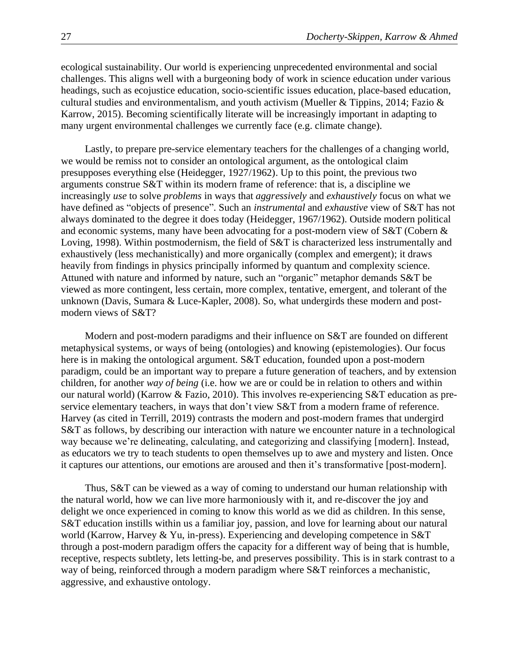ecological sustainability. Our world is experiencing unprecedented environmental and social challenges. This aligns well with a burgeoning body of work in science education under various headings, such as ecojustice education, socio-scientific issues education, place-based education, cultural studies and environmentalism, and youth activism (Mueller & Tippins, 2014; Fazio & Karrow, 2015). Becoming scientifically literate will be increasingly important in adapting to many urgent environmental challenges we currently face (e.g. climate change).

Lastly, to prepare pre-service elementary teachers for the challenges of a changing world, we would be remiss not to consider an ontological argument, as the ontological claim presupposes everything else (Heidegger, 1927/1962). Up to this point, the previous two arguments construe S&T within its modern frame of reference: that is, a discipline we increasingly *use* to solve *problems* in ways that *aggressively* and *exhaustively* focus on what we have defined as "objects of presence". Such an *instrumental* and *exhaustive* view of S&T has not always dominated to the degree it does today (Heidegger, 1967/1962). Outside modern political and economic systems, many have been advocating for a post-modern view of S&T (Cobern & Loving, 1998). Within postmodernism, the field of S&T is characterized less instrumentally and exhaustively (less mechanistically) and more organically (complex and emergent); it draws heavily from findings in physics principally informed by quantum and complexity science. Attuned with nature and informed by nature, such an "organic" metaphor demands S&T be viewed as more contingent, less certain, more complex, tentative, emergent, and tolerant of the unknown (Davis, Sumara & Luce-Kapler, 2008). So, what undergirds these modern and postmodern views of S&T?

Modern and post-modern paradigms and their influence on S&T are founded on different metaphysical systems, or ways of being (ontologies) and knowing (epistemologies). Our focus here is in making the ontological argument. S&T education, founded upon a post-modern paradigm, could be an important way to prepare a future generation of teachers, and by extension children, for another *way of being* (i.e. how we are or could be in relation to others and within our natural world) (Karrow & Fazio, 2010). This involves re-experiencing S&T education as preservice elementary teachers, in ways that don't view S&T from a modern frame of reference. Harvey (as cited in Terrill, 2019) contrasts the modern and post-modern frames that undergird S&T as follows, by describing our interaction with nature we encounter nature in a technological way because we're delineating, calculating, and categorizing and classifying [modern]. Instead, as educators we try to teach students to open themselves up to awe and mystery and listen. Once it captures our attentions, our emotions are aroused and then it's transformative [post-modern].

Thus, S&T can be viewed as a way of coming to understand our human relationship with the natural world, how we can live more harmoniously with it, and re-discover the joy and delight we once experienced in coming to know this world as we did as children. In this sense, S&T education instills within us a familiar joy, passion, and love for learning about our natural world (Karrow, Harvey & Yu, in-press). Experiencing and developing competence in S&T through a post-modern paradigm offers the capacity for a different way of being that is humble, receptive, respects subtlety, lets letting-be, and preserves possibility. This is in stark contrast to a way of being, reinforced through a modern paradigm where S&T reinforces a mechanistic, aggressive, and exhaustive ontology.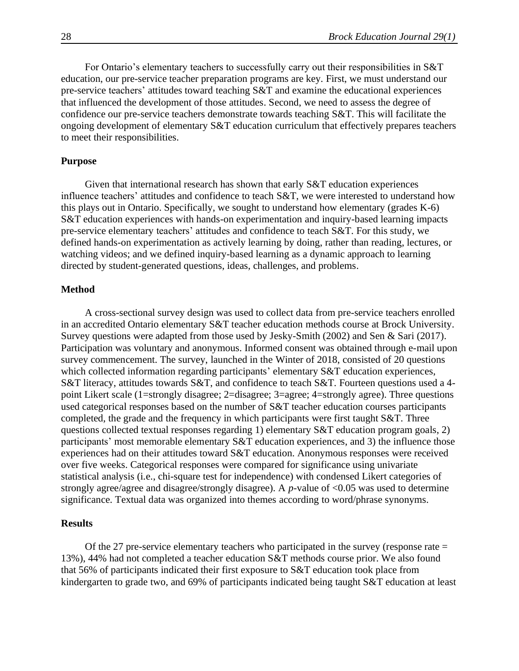For Ontario's elementary teachers to successfully carry out their responsibilities in S&T education, our pre-service teacher preparation programs are key. First, we must understand our pre-service teachers' attitudes toward teaching S&T and examine the educational experiences that influenced the development of those attitudes. Second, we need to assess the degree of confidence our pre-service teachers demonstrate towards teaching S&T. This will facilitate the ongoing development of elementary S&T education curriculum that effectively prepares teachers to meet their responsibilities.

#### **Purpose**

Given that international research has shown that early S&T education experiences influence teachers' attitudes and confidence to teach S&T, we were interested to understand how this plays out in Ontario. Specifically, we sought to understand how elementary (grades K-6) S&T education experiences with hands-on experimentation and inquiry-based learning impacts pre-service elementary teachers' attitudes and confidence to teach S&T. For this study, we defined hands-on experimentation as actively learning by doing, rather than reading, lectures, or watching videos; and we defined inquiry-based learning as a dynamic approach to learning directed by student-generated questions, ideas, challenges, and problems.

#### **Method**

A cross-sectional survey design was used to collect data from pre-service teachers enrolled in an accredited Ontario elementary S&T teacher education methods course at Brock University. Survey questions were adapted from those used by Jesky-Smith (2002) and Sen & Sari (2017). Participation was voluntary and anonymous. Informed consent was obtained through e-mail upon survey commencement. The survey, launched in the Winter of 2018, consisted of 20 questions which collected information regarding participants' elementary S&T education experiences, S&T literacy, attitudes towards S&T, and confidence to teach S&T. Fourteen questions used a 4 point Likert scale (1=strongly disagree; 2=disagree; 3=agree; 4=strongly agree). Three questions used categorical responses based on the number of S&T teacher education courses participants completed, the grade and the frequency in which participants were first taught S&T. Three questions collected textual responses regarding 1) elementary S&T education program goals, 2) participants' most memorable elementary S&T education experiences, and 3) the influence those experiences had on their attitudes toward S&T education. Anonymous responses were received over five weeks. Categorical responses were compared for significance using univariate statistical analysis (i.e., chi-square test for independence) with condensed Likert categories of strongly agree/agree and disagree/strongly disagree). A *p*-value of <0.05 was used to determine significance. Textual data was organized into themes according to word/phrase synonyms.

#### **Results**

Of the 27 pre-service elementary teachers who participated in the survey (response rate  $=$ 13%), 44% had not completed a teacher education S&T methods course prior. We also found that 56% of participants indicated their first exposure to S&T education took place from kindergarten to grade two, and 69% of participants indicated being taught S&T education at least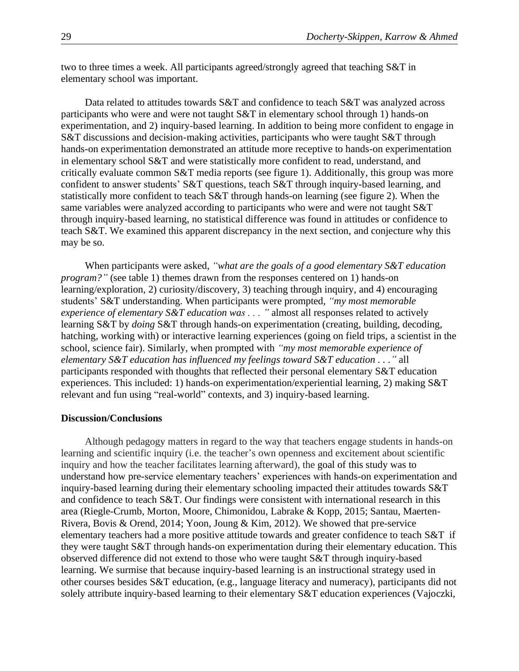two to three times a week. All participants agreed/strongly agreed that teaching S&T in elementary school was important.

Data related to attitudes towards S&T and confidence to teach S&T was analyzed across participants who were and were not taught S&T in elementary school through 1) hands-on experimentation, and 2) inquiry-based learning. In addition to being more confident to engage in S&T discussions and decision-making activities, participants who were taught S&T through hands-on experimentation demonstrated an attitude more receptive to hands-on experimentation in elementary school S&T and were statistically more confident to read, understand, and critically evaluate common S&T media reports (see figure 1). Additionally, this group was more confident to answer students' S&T questions, teach S&T through inquiry-based learning, and statistically more confident to teach S&T through hands-on learning (see figure 2). When the same variables were analyzed according to participants who were and were not taught S&T through inquiry-based learning, no statistical difference was found in attitudes or confidence to teach S&T. We examined this apparent discrepancy in the next section, and conjecture why this may be so.

When participants were asked, *"what are the goals of a good elementary S&T education program?"* (see table 1) themes drawn from the responses centered on 1) hands-on learning/exploration, 2) curiosity/discovery, 3) teaching through inquiry, and 4) encouraging students' S&T understanding. When participants were prompted, *"my most memorable experience of elementary S&T education was . . . "* almost all responses related to actively learning S&T by *doing* S&T through hands-on experimentation (creating, building, decoding, hatching, working with) or interactive learning experiences (going on field trips, a scientist in the school, science fair). Similarly, when prompted with *"my most memorable experience of elementary S&T education has influenced my feelings toward S&T education . . ."* all participants responded with thoughts that reflected their personal elementary S&T education experiences. This included: 1) hands-on experimentation/experiential learning, 2) making S&T relevant and fun using "real-world" contexts, and 3) inquiry-based learning.

#### **Discussion/Conclusions**

Although pedagogy matters in regard to the way that teachers engage students in hands-on learning and scientific inquiry (i.e. the teacher's own openness and excitement about scientific inquiry and how the teacher facilitates learning afterward), the goal of this study was to understand how pre-service elementary teachers' experiences with hands-on experimentation and inquiry-based learning during their elementary schooling impacted their attitudes towards S&T and confidence to teach S&T. Our findings were consistent with international research in this area (Riegle-Crumb, Morton, Moore, Chimonidou, Labrake & Kopp, 2015; Santau, Maerten-Rivera, Bovis & Orend, 2014; Yoon, Joung & Kim, 2012). We showed that pre-service elementary teachers had a more positive attitude towards and greater confidence to teach S&T if they were taught S&T through hands-on experimentation during their elementary education. This observed difference did not extend to those who were taught S&T through inquiry-based learning. We surmise that because inquiry-based learning is an instructional strategy used in other courses besides S&T education, (e.g., language literacy and numeracy), participants did not solely attribute inquiry-based learning to their elementary S&T education experiences (Vajoczki,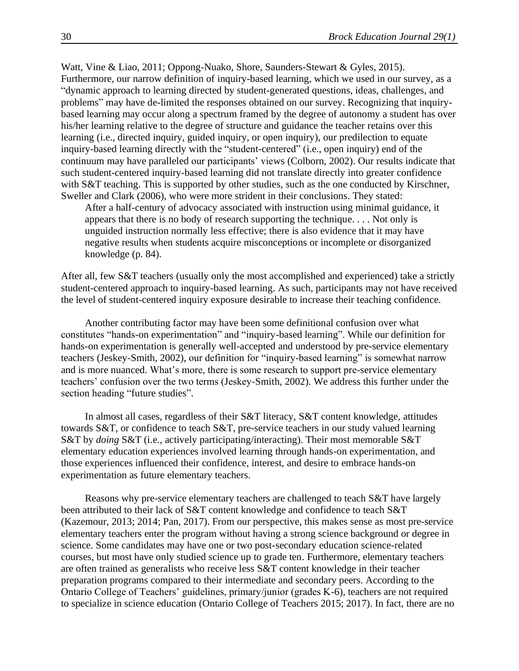Watt, Vine & Liao, 2011; Oppong-Nuako, Shore, Saunders-Stewart & Gyles, 2015). Furthermore, our narrow definition of inquiry-based learning, which we used in our survey, as a "dynamic approach to learning directed by student-generated questions, ideas, challenges, and problems" may have de-limited the responses obtained on our survey. Recognizing that inquirybased learning may occur along a spectrum framed by the degree of autonomy a student has over his/her learning relative to the degree of structure and guidance the teacher retains over this learning (i.e., directed inquiry, guided inquiry, or open inquiry), our predilection to equate inquiry-based learning directly with the "student-centered" (i.e., open inquiry) end of the continuum may have paralleled our participants' views (Colborn, 2002). Our results indicate that such student-centered inquiry-based learning did not translate directly into greater confidence with S&T teaching. This is supported by other studies, such as the one conducted by Kirschner, Sweller and Clark (2006), who were more strident in their conclusions. They stated:

After a half-century of advocacy associated with instruction using minimal guidance, it appears that there is no body of research supporting the technique. . . . Not only is unguided instruction normally less effective; there is also evidence that it may have negative results when students acquire misconceptions or incomplete or disorganized knowledge (p. 84).

After all, few S&T teachers (usually only the most accomplished and experienced) take a strictly student-centered approach to inquiry-based learning. As such, participants may not have received the level of student-centered inquiry exposure desirable to increase their teaching confidence.

Another contributing factor may have been some definitional confusion over what constitutes "hands-on experimentation" and "inquiry-based learning". While our definition for hands-on experimentation is generally well-accepted and understood by pre-service elementary teachers (Jeskey-Smith, 2002), our definition for "inquiry-based learning" is somewhat narrow and is more nuanced. What's more, there is some research to support pre-service elementary teachers' confusion over the two terms (Jeskey-Smith, 2002). We address this further under the section heading "future studies".

In almost all cases, regardless of their S&T literacy, S&T content knowledge, attitudes towards S&T, or confidence to teach S&T, pre-service teachers in our study valued learning S&T by *doing* S&T (i.e., actively participating/interacting). Their most memorable S&T elementary education experiences involved learning through hands-on experimentation, and those experiences influenced their confidence, interest, and desire to embrace hands-on experimentation as future elementary teachers.

Reasons why pre-service elementary teachers are challenged to teach S&T have largely been attributed to their lack of S&T content knowledge and confidence to teach S&T (Kazemour, 2013; 2014; Pan, 2017). From our perspective, this makes sense as most pre-service elementary teachers enter the program without having a strong science background or degree in science. Some candidates may have one or two post-secondary education science-related courses, but most have only studied science up to grade ten. Furthermore, elementary teachers are often trained as generalists who receive less S&T content knowledge in their teacher preparation programs compared to their intermediate and secondary peers. According to the Ontario College of Teachers' guidelines, primary/junior (grades K-6), teachers are not required to specialize in science education (Ontario College of Teachers 2015; 2017). In fact, there are no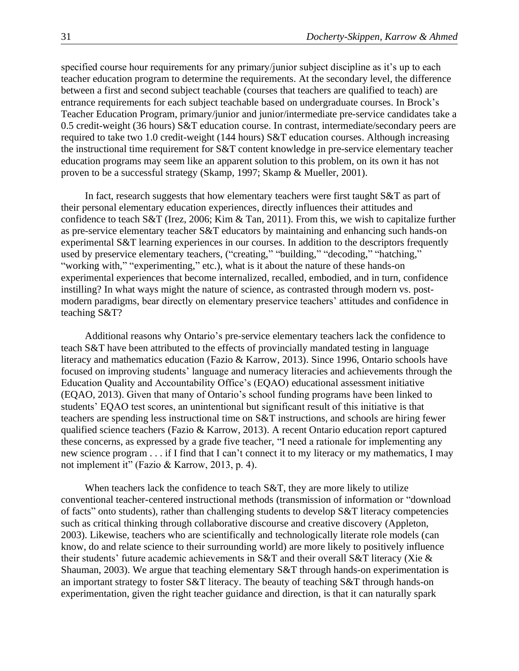specified course hour requirements for any primary/junior subject discipline as it's up to each teacher education program to determine the requirements. At the secondary level, the difference between a first and second subject teachable (courses that teachers are qualified to teach) are entrance requirements for each subject teachable based on undergraduate courses. In Brock's Teacher Education Program, primary/junior and junior/intermediate pre-service candidates take a 0.5 credit-weight (36 hours) S&T education course. In contrast, intermediate/secondary peers are required to take two 1.0 credit-weight (144 hours) S&T education courses. Although increasing the instructional time requirement for S&T content knowledge in pre-service elementary teacher education programs may seem like an apparent solution to this problem, on its own it has not proven to be a successful strategy (Skamp, 1997; Skamp & Mueller, 2001).

In fact, research suggests that how elementary teachers were first taught S&T as part of their personal elementary education experiences, directly influences their attitudes and confidence to teach S&T (Irez, 2006; Kim & Tan, 2011). From this, we wish to capitalize further as pre-service elementary teacher S&T educators by maintaining and enhancing such hands-on experimental S&T learning experiences in our courses. In addition to the descriptors frequently used by preservice elementary teachers, ("creating," "building," "decoding," "hatching," "working with," "experimenting," etc.), what is it about the nature of these hands-on experimental experiences that become internalized, recalled, embodied, and in turn, confidence instilling? In what ways might the nature of science, as contrasted through modern vs. postmodern paradigms, bear directly on elementary preservice teachers' attitudes and confidence in teaching S&T?

Additional reasons why Ontario's pre-service elementary teachers lack the confidence to teach S&T have been attributed to the effects of provincially mandated testing in language literacy and mathematics education (Fazio & Karrow, 2013). Since 1996, Ontario schools have focused on improving students' language and numeracy literacies and achievements through the Education Quality and Accountability Office's (EQAO) educational assessment initiative (EQAO, 2013). Given that many of Ontario's school funding programs have been linked to students' EQAO test scores, an unintentional but significant result of this initiative is that teachers are spending less instructional time on S&T instructions, and schools are hiring fewer qualified science teachers (Fazio & Karrow, 2013). A recent Ontario education report captured these concerns, as expressed by a grade five teacher, "I need a rationale for implementing any new science program . . . if I find that I can't connect it to my literacy or my mathematics, I may not implement it" (Fazio & Karrow, 2013, p. 4).

When teachers lack the confidence to teach S&T, they are more likely to utilize conventional teacher-centered instructional methods (transmission of information or "download of facts" onto students), rather than challenging students to develop S&T literacy competencies such as critical thinking through collaborative discourse and creative discovery (Appleton, 2003). Likewise, teachers who are scientifically and technologically literate role models (can know, do and relate science to their surrounding world) are more likely to positively influence their students' future academic achievements in S&T and their overall S&T literacy (Xie & Shauman, 2003). We argue that teaching elementary S&T through hands-on experimentation is an important strategy to foster S&T literacy. The beauty of teaching S&T through hands-on experimentation, given the right teacher guidance and direction, is that it can naturally spark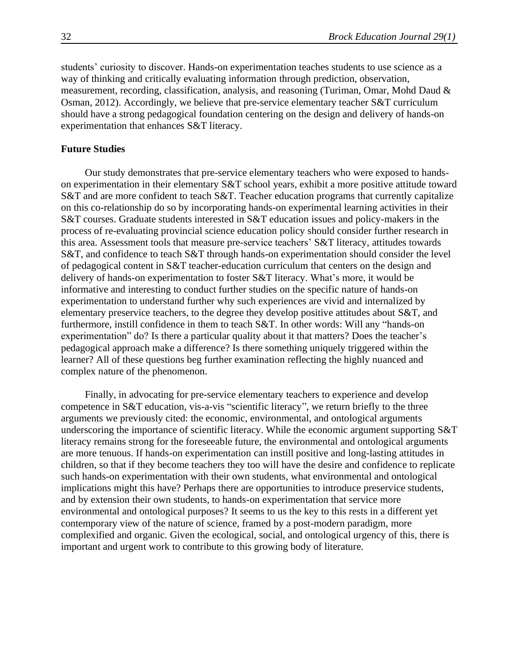students' curiosity to discover. Hands-on experimentation teaches students to use science as a way of thinking and critically evaluating information through prediction, observation, measurement, recording, classification, analysis, and reasoning (Turiman, Omar, Mohd Daud & Osman, 2012). Accordingly, we believe that pre-service elementary teacher S&T curriculum should have a strong pedagogical foundation centering on the design and delivery of hands-on experimentation that enhances S&T literacy.

#### **Future Studies**

Our study demonstrates that pre-service elementary teachers who were exposed to handson experimentation in their elementary S&T school years, exhibit a more positive attitude toward S&T and are more confident to teach S&T. Teacher education programs that currently capitalize on this co-relationship do so by incorporating hands-on experimental learning activities in their S&T courses. Graduate students interested in S&T education issues and policy-makers in the process of re-evaluating provincial science education policy should consider further research in this area. Assessment tools that measure pre-service teachers' S&T literacy, attitudes towards S&T, and confidence to teach S&T through hands-on experimentation should consider the level of pedagogical content in S&T teacher-education curriculum that centers on the design and delivery of hands-on experimentation to foster S&T literacy. What's more, it would be informative and interesting to conduct further studies on the specific nature of hands-on experimentation to understand further why such experiences are vivid and internalized by elementary preservice teachers, to the degree they develop positive attitudes about S&T, and furthermore, instill confidence in them to teach S&T. In other words: Will any "hands-on experimentation" do? Is there a particular quality about it that matters? Does the teacher's pedagogical approach make a difference? Is there something uniquely triggered within the learner? All of these questions beg further examination reflecting the highly nuanced and complex nature of the phenomenon.

Finally, in advocating for pre-service elementary teachers to experience and develop competence in S&T education, vis-a-vis "scientific literacy", we return briefly to the three arguments we previously cited: the economic, environmental, and ontological arguments underscoring the importance of scientific literacy. While the economic argument supporting S&T literacy remains strong for the foreseeable future, the environmental and ontological arguments are more tenuous. If hands-on experimentation can instill positive and long-lasting attitudes in children, so that if they become teachers they too will have the desire and confidence to replicate such hands-on experimentation with their own students, what environmental and ontological implications might this have? Perhaps there are opportunities to introduce preservice students, and by extension their own students, to hands-on experimentation that service more environmental and ontological purposes? It seems to us the key to this rests in a different yet contemporary view of the nature of science, framed by a post-modern paradigm, more complexified and organic. Given the ecological, social, and ontological urgency of this, there is important and urgent work to contribute to this growing body of literature.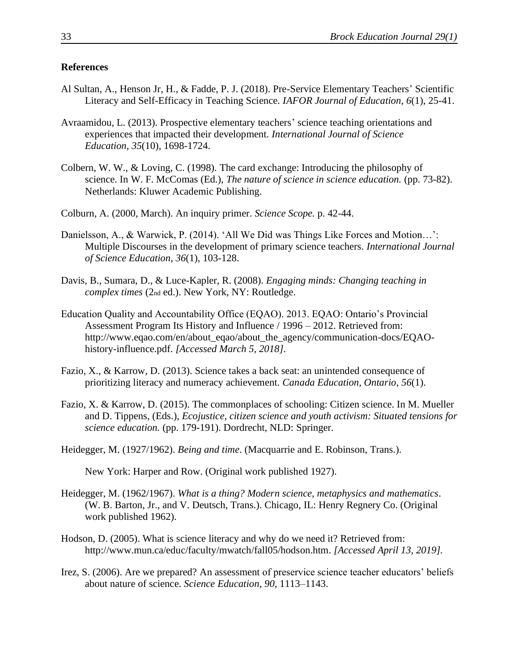#### **References**

- Al Sultan, A., Henson Jr, H., & Fadde, P. J. (2018). Pre-Service Elementary Teachers' Scientific Literacy and Self-Efficacy in Teaching Science. *IAFOR Journal of Education*, *6*(1), 25-41.
- Avraamidou, L. (2013). Prospective elementary teachers' science teaching orientations and experiences that impacted their development. *International Journal of Science Education*, *35*(10), 1698-1724.
- Colbern, W. W., & Loving, C. (1998). The card exchange: Introducing the philosophy of science. In W. F. McComas (Ed.), *The nature of science in science education.* (pp. 73-82). Netherlands: Kluwer Academic Publishing.
- Colburn, A. (2000, March). An inquiry primer. *Science Scope.* p. 42-44.
- Danielsson, A., & Warwick, P. (2014). 'All We Did was Things Like Forces and Motion…': Multiple Discourses in the development of primary science teachers. *International Journal of Science Education*, *36*(1), 103-128.
- Davis, B., Sumara, D., & Luce-Kapler, R. (2008). *Engaging minds: Changing teaching in complex times* (2nd ed.). New York, NY: Routledge.
- Education Quality and Accountability Office (EQAO). 2013. EQAO: Ontario's Provincial Assessment Program Its History and Influence / 1996 – 2012. Retrieved from: http://www.eqao.com/en/about\_eqao/about\_the\_agency/communication-docs/EQAOhistory-influence.pdf. *[Accessed March 5, 2018].*
- Fazio, X., & Karrow, D. (2013). Science takes a back seat: an unintended consequence of prioritizing literacy and numeracy achievement. *Canada Education, Ontario*, *56*(1).
- Fazio, X. & Karrow, D. (2015). The commonplaces of schooling: Citizen science. In M. Mueller and D. Tippens, (Eds.), *Ecojustice, citizen science and youth activism: Situated tensions for science education.* (pp. 179-191). Dordrecht, NLD: Springer.
- Heidegger, M. (1927/1962). *Being and time*. (Macquarrie and E. Robinson, Trans.).

New York: Harper and Row. (Original work published 1927).

- Heidegger, M. (1962/1967). *What is a thing? Modern science, metaphysics and mathematics*. (W. B. Barton, Jr., and V. Deutsch, Trans.). Chicago, IL: Henry Regnery Co. (Original work published 1962).
- Hodson, D. (2005). What is science literacy and why do we need it? Retrieved from: http://www.mun.ca/educ/faculty/mwatch/fall05/hodson.htm. *[Accessed April 13, 2019].*
- Irez, S. (2006). Are we prepared? An assessment of preservice science teacher educators' beliefs about nature of science. *Science Education*, *90*, 1113–1143.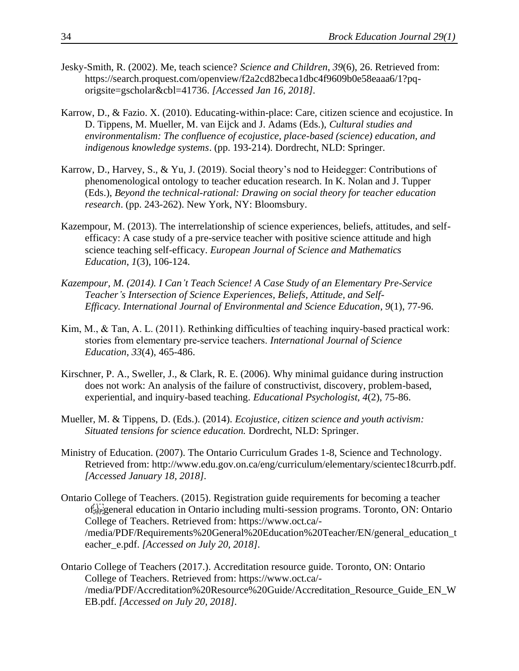- Jesky-Smith, R. (2002). Me, teach science? *Science and Children*, *39*(6), 26. Retrieved from: https://search.proquest.com/openview/f2a2cd82beca1dbc4f9609b0e58eaaa6/1?pqorigsite=gscholar&cbl=41736. *[Accessed Jan 16, 2018].*
- Karrow, D., & Fazio. X. (2010). Educating-within-place: Care, citizen science and ecojustice. In D. Tippens, M. Mueller, M. van Eijck and J. Adams (Eds.), *Cultural studies and environmentalism: The confluence of ecojustice, place-based (science) education, and indigenous knowledge systems*. (pp. 193-214). Dordrecht, NLD: Springer.
- Karrow, D., Harvey, S., & Yu, J. (2019). Social theory's nod to Heidegger: Contributions of phenomenological ontology to teacher education research. In K. Nolan and J. Tupper (Eds.), *Beyond the technical-rational: Drawing on social theory for teacher education research*. (pp. 243-262). New York, NY: Bloomsbury.
- Kazempour, M. (2013). The interrelationship of science experiences, beliefs, attitudes, and selfefficacy: A case study of a pre-service teacher with positive science attitude and high science teaching self-efficacy. *European Journal of Science and Mathematics Education*, *1*(3), 106-124.
- *Kazempour, M. (2014). I Can't Teach Science! A Case Study of an Elementary Pre-Service Teacher's Intersection of Science Experiences, Beliefs, Attitude, and Self-Efficacy. International Journal of Environmental and Science Education*, *9*(1), 77-96.
- Kim, M., & Tan, A. L. (2011). Rethinking difficulties of teaching inquiry-based practical work: stories from elementary pre‐service teachers. *International Journal of Science Education*, *33*(4), 465-486.
- Kirschner, P. A., Sweller, J., & Clark, R. E. (2006). Why minimal guidance during instruction does not work: An analysis of the failure of constructivist, discovery, problem-based, experiential, and inquiry-based teaching. *Educational Psychologist, 4*(2), 75-86.
- Mueller, M. & Tippens, D. (Eds.). (2014). *Ecojustice, citizen science and youth activism: Situated tensions for science education.* Dordrecht, NLD: Springer.
- Ministry of Education. (2007). The Ontario Curriculum Grades 1-8, Science and Technology. Retrieved from: http://www.edu.gov.on.ca/eng/curriculum/elementary/scientec18currb.pdf. *[Accessed January 18, 2018].*
- Ontario College of Teachers. (2015). Registration guide requirements for becoming a teacher of
general education in Ontario including multi-session programs. Toronto, ON: Ontario College of Teachers. Retrieved from: https://www.oct.ca/- /media/PDF/Requirements%20General%20Education%20Teacher/EN/general\_education\_t eacher\_e.pdf. *[Accessed on July 20, 2018].*
- Ontario College of Teachers (2017.). Accreditation resource guide. Toronto, ON: Ontario College of Teachers. Retrieved from: https://www.oct.ca/- /media/PDF/Accreditation%20Resource%20Guide/Accreditation\_Resource\_Guide\_EN\_W EB.pdf. *[Accessed on July 20, 2018].*